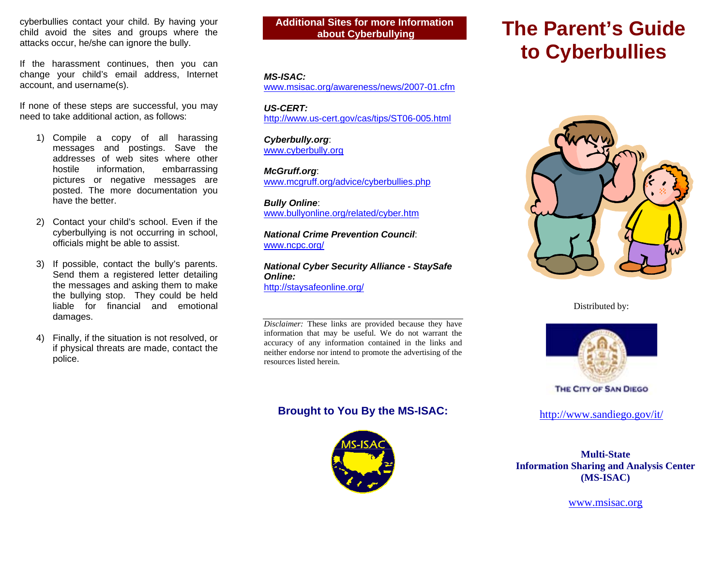cyberbullies contact your child. By having your child avoid the sites and groups where the attacks occur, he/she can ignore the bully.

If the harassment continues, then you can change your child's email address, Internet account, and username(s).

If none of these steps are successful, you may need to take additional action, as follows:

- 1) Compile a copy of all harassing messages and postings. Save the addresses of web sites where other hostile information, embarrassing pictures or negative messages are posted. The more documentation you have the better.
- 2) Contact your child's school. Even if the cyberbullying is not occurring in school, officials might be able to assist.
- 3) If possible, contact the bully's parents. Send them a registered letter detailing the messages and asking them to make the bullying stop. They could be held liable for financial and emotional damages.
- 4) Finally, if the situation is not resolved, or if physical threats are made, contact the police.

**Additional Sites for more Information about Cyberbullying** 

#### *MS-ISAC:*

www.msisac.org/awareness/news/2007-01.cfm

*US-CERT:* http://www.us-cert.gov/cas/tips/ST06-005.html

*Cyberbully.org*: www.cyberbully.org

*McGruff.org*: www.mcgruff.org/advice/cyberbullies.php

*Bully Online*: www.bullyonline.org/related/cyber.htm

*National Crime Prevention Council*: www.ncpc.org/

*National Cyber Security Alliance - StaySafe Online:* http://staysafeonline.org/

*Disclaimer:* These links are provided because they have information that may be useful. We do not warrant the accuracy of any information contained in the links and neither endorse nor intend to promote the advertising of the resources listed herein.

## **Brought to You By the MS-ISAC:**



# **The Parent's Guide to Cyberbullies**



Distributed by:



THE CITY OF SAN DIEGO

http://www.sandiego.gov/it/

**Multi-State Information Sharing and Analysis Center (MS-ISAC)**

www.msisac.org